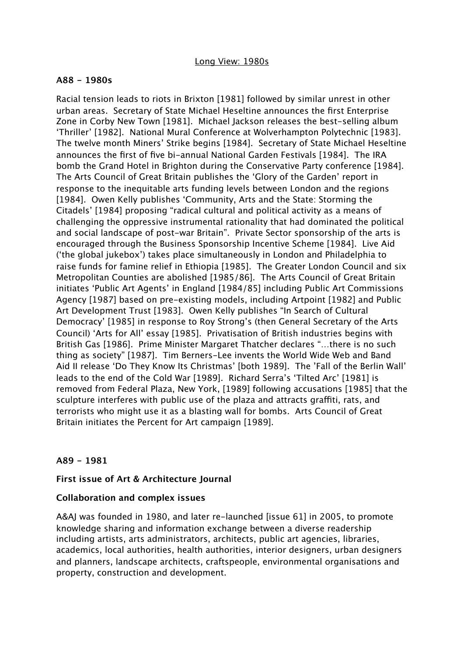### **A88 - 1980s**

Racial tension leads to riots in Brixton [1981] followed by similar unrest in other urban areas. Secretary of State Michael Heseltine announces the first Enterprise Zone in Corby New Town [1981]. Michael Jackson releases the best-selling album 'Thriller' [1982]. National Mural Conference at Wolverhampton Polytechnic [1983]. The twelve month Miners' Strike begins [1984]. Secretary of State Michael Heseltine announces the first of five bi-annual National Garden Festivals [1984]. The IRA bomb the Grand Hotel in Brighton during the Conservative Party conference [1984]. The Arts Council of Great Britain publishes the 'Glory of the Garden' report in response to the inequitable arts funding levels between London and the regions [1984]. Owen Kelly publishes 'Community, Arts and the State: Storming the Citadels' [1984] proposing "radical cultural and political activity as a means of challenging the oppressive instrumental rationality that had dominated the political and social landscape of post-war Britain". Private Sector sponsorship of the arts is encouraged through the Business Sponsorship Incentive Scheme [1984]. Live Aid ('the global jukebox') takes place simultaneously in London and Philadelphia to raise funds for famine relief in Ethiopia [1985]. The Greater London Council and six Metropolitan Counties are abolished [1985/86]. The Arts Council of Great Britain initiates 'Public Art Agents' in England [1984/85] including Public Art Commissions Agency [1987] based on pre-existing models, including Artpoint [1982] and Public Art Development Trust [1983]. Owen Kelly publishes "In Search of Cultural Democracy' [1985] in response to Roy Strong's (then General Secretary of the Arts Council) 'Arts for All' essay [1985]. Privatisation of British industries begins with British Gas [1986]. Prime Minister Margaret Thatcher declares "…there is no such thing as society" [1987]. Tim Berners-Lee invents the World Wide Web and Band Aid II release 'Do They Know Its Christmas' [both 1989]. The 'Fall of the Berlin Wall' leads to the end of the Cold War [1989]. Richard Serra's 'Tilted Arc' [1981] is removed from Federal Plaza, New York, [1989] following accusations [1985] that the sculpture interferes with public use of the plaza and attracts graffiti, rats, and terrorists who might use it as a blasting wall for bombs. Arts Council of Great Britain initiates the Percent for Art campaign [1989].

## **A89 - 1981**

#### **First issue of Art & Architecture Journal**

#### **Collaboration and complex issues**

A&AJ was founded in 1980, and later re-launched [issue 61] in 2005, to promote knowledge sharing and information exchange between a diverse readership including artists, arts administrators, architects, public art agencies, libraries, academics, local authorities, health authorities, interior designers, urban designers and planners, landscape architects, craftspeople, environmental organisations and property, construction and development.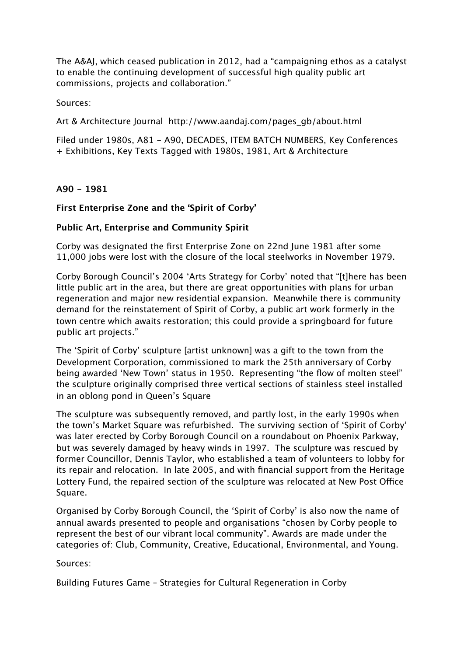The A&AJ, which ceased publication in 2012, had a "campaigning ethos as a catalyst to enable the continuing development of successful high quality public art commissions, projects and collaboration."

Sources:

Art & Architecture Journal http://www.aandaj.com/pages\_gb/about.html

Filed under 1980s, A81 - A90, DECADES, ITEM BATCH NUMBERS, Key Conferences + Exhibitions, Key Texts Tagged with 1980s, 1981, Art & Architecture

# **A90 - 1981**

# **First Enterprise Zone and the 'Spirit of Corby'**

# **Public Art, Enterprise and Community Spirit**

Corby was designated the first Enterprise Zone on 22nd June 1981 after some 11,000 jobs were lost with the closure of the local steelworks in November 1979.

Corby Borough Council's 2004 'Arts Strategy for Corby' noted that "[t]here has been little public art in the area, but there are great opportunities with plans for urban regeneration and major new residential expansion. Meanwhile there is community demand for the reinstatement of Spirit of Corby, a public art work formerly in the town centre which awaits restoration; this could provide a springboard for future public art projects."

The 'Spirit of Corby' sculpture [artist unknown] was a gift to the town from the Development Corporation, commissioned to mark the 25th anniversary of Corby being awarded 'New Town' status in 1950. Representing "the flow of molten steel" the sculpture originally comprised three vertical sections of stainless steel installed in an oblong pond in Queen's Square

The sculpture was subsequently removed, and partly lost, in the early 1990s when the town's Market Square was refurbished. The surviving section of 'Spirit of Corby' was later erected by Corby Borough Council on a roundabout on Phoenix Parkway, but was severely damaged by heavy winds in 1997. The sculpture was rescued by former Councillor, Dennis Taylor, who established a team of volunteers to lobby for its repair and relocation. In late 2005, and with financial support from the Heritage Lottery Fund, the repaired section of the sculpture was relocated at New Post Office Square.

Organised by Corby Borough Council, the 'Spirit of Corby' is also now the name of annual awards presented to people and organisations "chosen by Corby people to represent the best of our vibrant local community". Awards are made under the categories of: Club, Community, Creative, Educational, Environmental, and Young.

Sources:

Building Futures Game – Strategies for Cultural Regeneration in Corby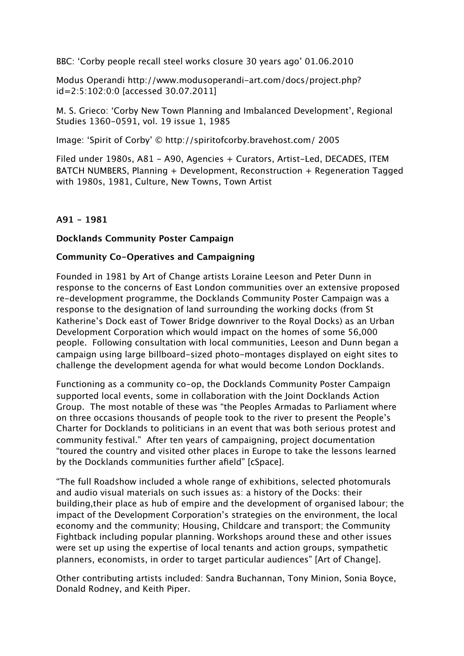BBC: 'Corby people recall steel works closure 30 years ago' 01.06.2010

Modus Operandi http://www.modusoperandi-art.com/docs/project.php? id=2:5:102:0:0 [accessed 30.07.2011]

M. S. Grieco: 'Corby New Town Planning and Imbalanced Development', Regional Studies 1360-0591, vol. 19 issue 1, 1985

Image: 'Spirit of Corby' © http://spiritofcorby.bravehost.com/ 2005

Filed under 1980s, A81 - A90, Agencies + Curators, Artist-Led, DECADES, ITEM BATCH NUMBERS, Planning + Development, Reconstruction + Regeneration Tagged with 1980s, 1981, Culture, New Towns, Town Artist

## **A91 - 1981**

#### **Docklands Community Poster Campaign**

#### **Community Co-Operatives and Campaigning**

Founded in 1981 by Art of Change artists Loraine Leeson and Peter Dunn in response to the concerns of East London communities over an extensive proposed re-development programme, the Docklands Community Poster Campaign was a response to the designation of land surrounding the working docks (from St Katherine's Dock east of Tower Bridge downriver to the Royal Docks) as an Urban Development Corporation which would impact on the homes of some 56,000 people. Following consultation with local communities, Leeson and Dunn began a campaign using large billboard-sized photo-montages displayed on eight sites to challenge the development agenda for what would become London Docklands.

Functioning as a community co-op, the Docklands Community Poster Campaign supported local events, some in collaboration with the Joint Docklands Action Group. The most notable of these was "the Peoples Armadas to Parliament where on three occasions thousands of people took to the river to present the People's Charter for Docklands to politicians in an event that was both serious protest and community festival." After ten years of campaigning, project documentation "toured the country and visited other places in Europe to take the lessons learned by the Docklands communities further afield" [cSpace].

"The full Roadshow included a whole range of exhibitions, selected photomurals and audio visual materials on such issues as: a history of the Docks: their building,their place as hub of empire and the development of organised labour; the impact of the Development Corporation's strategies on the environment, the local economy and the community; Housing, Childcare and transport; the Community Fightback including popular planning. Workshops around these and other issues were set up using the expertise of local tenants and action groups, sympathetic planners, economists, in order to target particular audiences" [Art of Change].

Other contributing artists included: Sandra Buchannan, Tony Minion, Sonia Boyce, Donald Rodney, and Keith Piper.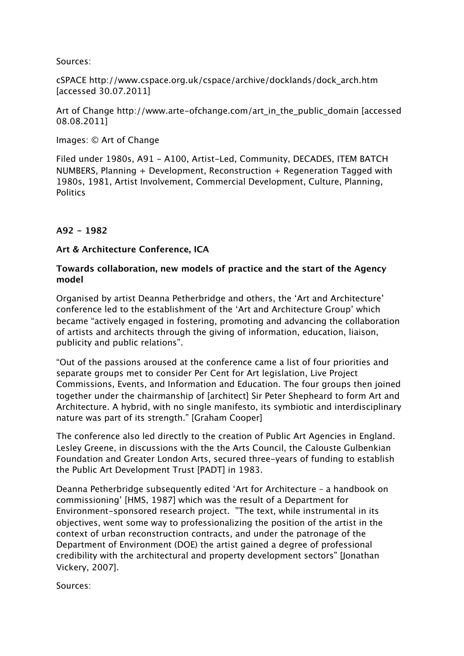Sources:

cSPACE http://www.cspace.org.uk/cspace/archive/docklands/dock\_arch.htm [accessed 30.07.2011]

Art of Change http://www.arte-ofchange.com/art\_in\_the\_public\_domain [accessed 08.08.2011]

Images: © Art of Change

Filed under 1980s, A91 - A100, Artist-Led, Community, DECADES, ITEM BATCH NUMBERS, Planning + Development, Reconstruction + Regeneration Tagged with 1980s, 1981, Artist Involvement, Commercial Development, Culture, Planning, **Politics** 

## **A92 - 1982**

#### **Art & Architecture Conference, ICA**

### **Towards collaboration, new models of practice and the start of the Agency model**

Organised by artist Deanna Petherbridge and others, the 'Art and Architecture' conference led to the establishment of the 'Art and Architecture Group' which became "actively engaged in fostering, promoting and advancing the collaboration of artists and architects through the giving of information, education, liaison, publicity and public relations".

"Out of the passions aroused at the conference came a list of four priorities and separate groups met to consider Per Cent for Art legislation, Live Project Commissions, Events, and Information and Education. The four groups then joined together under the chairmanship of [architect] Sir Peter Shepheard to form Art and Architecture. A hybrid, with no single manifesto, its symbiotic and interdisciplinary nature was part of its strength." [Graham Cooper]

The conference also led directly to the creation of Public Art Agencies in England. Lesley Greene, in discussions with the the Arts Council, the Calouste Gulbenkian Foundation and Greater London Arts, secured three-years of funding to establish the Public Art Development Trust [PADT] in 1983.

Deanna Petherbridge subsequently edited 'Art for Architecture – a handbook on commissioning' [HMS, 1987] which was the result of a Department for Environment-sponsored research project. "The text, while instrumental in its objectives, went some way to professionalizing the position of the artist in the context of urban reconstruction contracts, and under the patronage of the Department of Environment (DOE) the artist gained a degree of professional credibility with the architectural and property development sectors" [Jonathan Vickery, 2007].

Sources: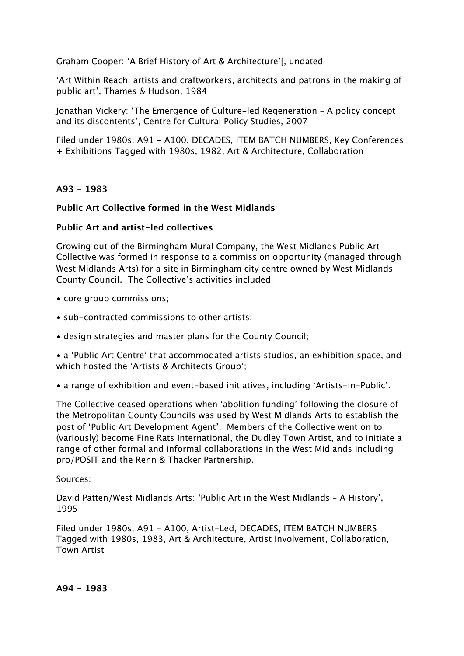Graham Cooper: 'A Brief History of Art & Architecture'[, undated

'Art Within Reach; artists and craftworkers, architects and patrons in the making of public art', Thames & Hudson, 1984

Jonathan Vickery: 'The Emergence of Culture-led Regeneration – A policy concept and its discontents', Centre for Cultural Policy Studies, 2007

Filed under 1980s, A91 - A100, DECADES, ITEM BATCH NUMBERS, Key Conferences + Exhibitions Tagged with 1980s, 1982, Art & Architecture, Collaboration

#### **A93 - 1983**

#### **Public Art Collective formed in the West Midlands**

#### **Public Art and artist-led collectives**

Growing out of the Birmingham Mural Company, the West Midlands Public Art Collective was formed in response to a commission opportunity (managed through West Midlands Arts) for a site in Birmingham city centre owned by West Midlands County Council. The Collective's activities included:

- core group commissions;
- sub-contracted commissions to other artists;
- design strategies and master plans for the County Council;

• a 'Public Art Centre' that accommodated artists studios, an exhibition space, and which hosted the 'Artists & Architects Group';

• a range of exhibition and event-based initiatives, including 'Artists-in-Public'.

The Collective ceased operations when 'abolition funding' following the closure of the Metropolitan County Councils was used by West Midlands Arts to establish the post of 'Public Art Development Agent'. Members of the Collective went on to (variously) become Fine Rats International, the Dudley Town Artist, and to initiate a range of other formal and informal collaborations in the West Midlands including pro/POSIT and the Renn & Thacker Partnership.

#### Sources:

David Patten/West Midlands Arts: 'Public Art in the West Midlands – A History', 1995

Filed under 1980s, A91 - A100, Artist-Led, DECADES, ITEM BATCH NUMBERS Tagged with 1980s, 1983, Art & Architecture, Artist Involvement, Collaboration, Town Artist

**A94 - 1983**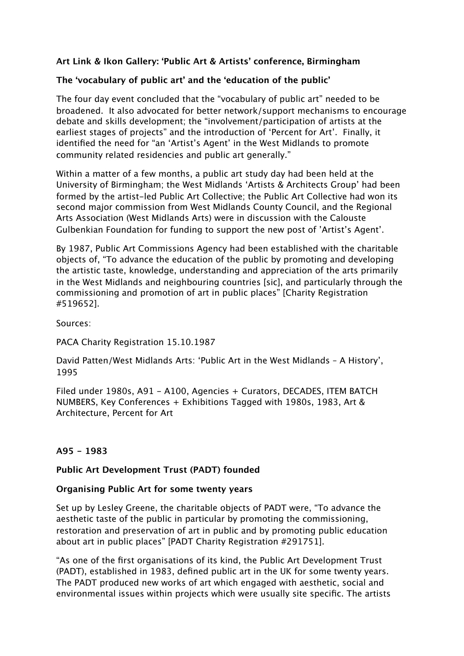# **Art Link & Ikon Gallery: 'Public Art & Artists' conference, Birmingham**

## **The 'vocabulary of public art' and the 'education of the public'**

The four day event concluded that the "vocabulary of public art" needed to be broadened. It also advocated for better network/support mechanisms to encourage debate and skills development; the "involvement/participation of artists at the earliest stages of projects" and the introduction of 'Percent for Art'. Finally, it identified the need for "an 'Artist's Agent' in the West Midlands to promote community related residencies and public art generally."

Within a matter of a few months, a public art study day had been held at the University of Birmingham; the West Midlands 'Artists & Architects Group' had been formed by the artist-led Public Art Collective; the Public Art Collective had won its second major commission from West Midlands County Council, and the Regional Arts Association (West Midlands Arts) were in discussion with the Calouste Gulbenkian Foundation for funding to support the new post of 'Artist's Agent'.

By 1987, Public Art Commissions Agency had been established with the charitable objects of, "To advance the education of the public by promoting and developing the artistic taste, knowledge, understanding and appreciation of the arts primarily in the West Midlands and neighbouring countries [sic], and particularly through the commissioning and promotion of art in public places" [Charity Registration #519652].

Sources:

PACA Charity Registration 15.10.1987

David Patten/West Midlands Arts: 'Public Art in the West Midlands – A History', 1995

Filed under 1980s, A91 - A100, Agencies + Curators, DECADES, ITEM BATCH NUMBERS, Key Conferences + Exhibitions Tagged with 1980s, 1983, Art & Architecture, Percent for Art

## **A95 - 1983**

## **Public Art Development Trust (PADT) founded**

#### **Organising Public Art for some twenty years**

Set up by Lesley Greene, the charitable objects of PADT were, "To advance the aesthetic taste of the public in particular by promoting the commissioning, restoration and preservation of art in public and by promoting public education about art in public places" [PADT Charity Registration #291751].

"As one of the first organisations of its kind, the Public Art Development Trust (PADT), established in 1983, defined public art in the UK for some twenty years. The PADT produced new works of art which engaged with aesthetic, social and environmental issues within projects which were usually site specific. The artists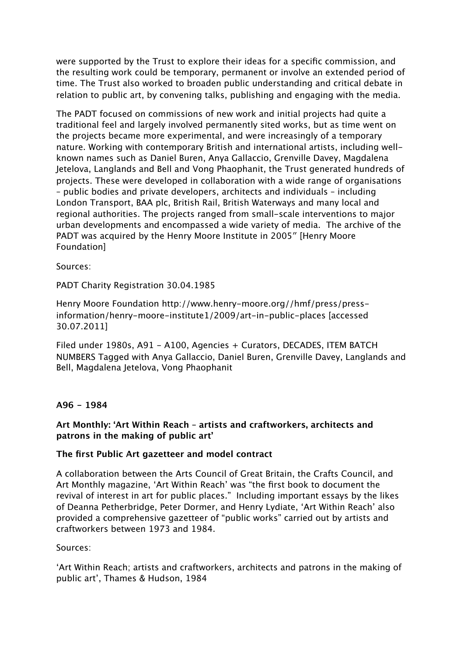were supported by the Trust to explore their ideas for a specific commission, and the resulting work could be temporary, permanent or involve an extended period of time. The Trust also worked to broaden public understanding and critical debate in relation to public art, by convening talks, publishing and engaging with the media.

The PADT focused on commissions of new work and initial projects had quite a traditional feel and largely involved permanently sited works, but as time went on the projects became more experimental, and were increasingly of a temporary nature. Working with contemporary British and international artists, including wellknown names such as Daniel Buren, Anya Gallaccio, Grenville Davey, Magdalena Jetelova, Langlands and Bell and Vong Phaophanit, the Trust generated hundreds of projects. These were developed in collaboration with a wide range of organisations – public bodies and private developers, architects and individuals – including London Transport, BAA plc, British Rail, British Waterways and many local and regional authorities. The projects ranged from small-scale interventions to major urban developments and encompassed a wide variety of media. The archive of the PADT was acquired by the Henry Moore Institute in 2005″ [Henry Moore Foundation]

Sources:

PADT Charity Registration 30.04.1985

Henry Moore Foundation http://www.henry-moore.org//hmf/press/pressinformation/henry-moore-institute1/2009/art-in-public-places [accessed 30.07.2011]

Filed under 1980s, A91 - A100, Agencies + Curators, DECADES, ITEM BATCH NUMBERS Tagged with Anya Gallaccio, Daniel Buren, Grenville Davey, Langlands and Bell, Magdalena Jetelova, Vong Phaophanit

## **A96 - 1984**

#### **Art Monthly: 'Art Within Reach – artists and craftworkers, architects and patrons in the making of public art'**

#### **The first Public Art gazetteer and model contract**

A collaboration between the Arts Council of Great Britain, the Crafts Council, and Art Monthly magazine, 'Art Within Reach' was "the first book to document the revival of interest in art for public places." Including important essays by the likes of Deanna Petherbridge, Peter Dormer, and Henry Lydiate, 'Art Within Reach' also provided a comprehensive gazetteer of "public works" carried out by artists and craftworkers between 1973 and 1984.

#### Sources:

'Art Within Reach; artists and craftworkers, architects and patrons in the making of public art', Thames & Hudson, 1984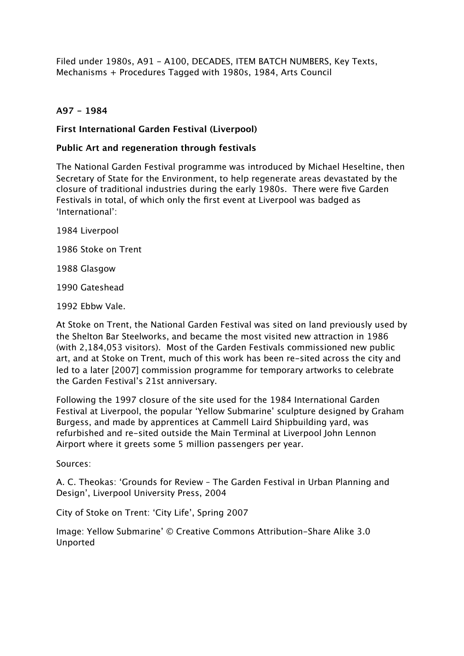Filed under 1980s, A91 - A100, DECADES, ITEM BATCH NUMBERS, Key Texts, Mechanisms + Procedures Tagged with 1980s, 1984, Arts Council

# **A97 - 1984**

### **First International Garden Festival (Liverpool)**

#### **Public Art and regeneration through festivals**

The National Garden Festival programme was introduced by Michael Heseltine, then Secretary of State for the Environment, to help regenerate areas devastated by the closure of traditional industries during the early 1980s. There were five Garden Festivals in total, of which only the first event at Liverpool was badged as 'International':

1984 Liverpool

1986 Stoke on Trent

1988 Glasgow

1990 Gateshead

1992 Ebbw Vale.

At Stoke on Trent, the National Garden Festival was sited on land previously used by the Shelton Bar Steelworks, and became the most visited new attraction in 1986 (with 2,184,053 visitors). Most of the Garden Festivals commissioned new public art, and at Stoke on Trent, much of this work has been re-sited across the city and led to a later [2007] commission programme for temporary artworks to celebrate the Garden Festival's 21st anniversary.

Following the 1997 closure of the site used for the 1984 International Garden Festival at Liverpool, the popular 'Yellow Submarine' sculpture designed by Graham Burgess, and made by apprentices at Cammell Laird Shipbuilding yard, was refurbished and re-sited outside the Main Terminal at Liverpool John Lennon Airport where it greets some 5 million passengers per year.

Sources:

A. C. Theokas: 'Grounds for Review – The Garden Festival in Urban Planning and Design', Liverpool University Press, 2004

City of Stoke on Trent: 'City Life', Spring 2007

Image: Yellow Submarine' © Creative Commons Attribution-Share Alike 3.0 Unported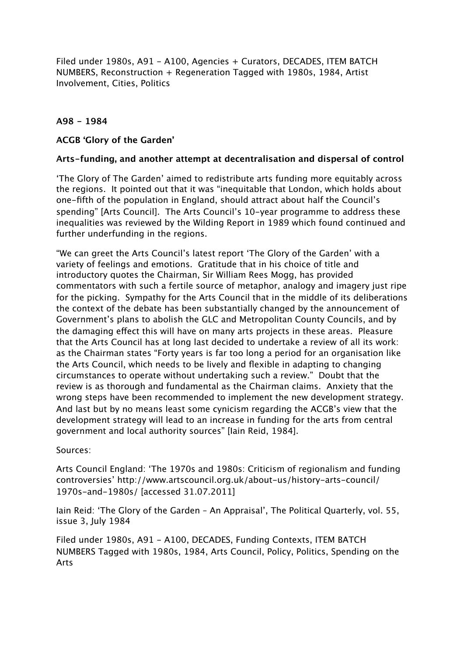Filed under 1980s, A91 - A100, Agencies + Curators, DECADES, ITEM BATCH NUMBERS, Reconstruction + Regeneration Tagged with 1980s, 1984, Artist Involvement, Cities, Politics

## **A98 - 1984**

#### **ACGB 'Glory of the Garden'**

#### **Arts-funding, and another attempt at decentralisation and dispersal of control**

'The Glory of The Garden' aimed to redistribute arts funding more equitably across the regions. It pointed out that it was "inequitable that London, which holds about one-fifth of the population in England, should attract about half the Council's spending" [Arts Council]. The Arts Council's 10-year programme to address these inequalities was reviewed by the Wilding Report in 1989 which found continued and further underfunding in the regions.

"We can greet the Arts Council's latest report 'The Glory of the Garden' with a variety of feelings and emotions. Gratitude that in his choice of title and introductory quotes the Chairman, Sir William Rees Mogg, has provided commentators with such a fertile source of metaphor, analogy and imagery just ripe for the picking. Sympathy for the Arts Council that in the middle of its deliberations the context of the debate has been substantially changed by the announcement of Government's plans to abolish the GLC and Metropolitan County Councils, and by the damaging effect this will have on many arts projects in these areas. Pleasure that the Arts Council has at long last decided to undertake a review of all its work: as the Chairman states "Forty years is far too long a period for an organisation like the Arts Council, which needs to be lively and flexible in adapting to changing circumstances to operate without undertaking such a review." Doubt that the review is as thorough and fundamental as the Chairman claims. Anxiety that the wrong steps have been recommended to implement the new development strategy. And last but by no means least some cynicism regarding the ACGB's view that the development strategy will lead to an increase in funding for the arts from central government and local authority sources" [Iain Reid, 1984].

#### Sources:

Arts Council England: 'The 1970s and 1980s: Criticism of regionalism and funding controversies' http://www.artscouncil.org.uk/about-us/history-arts-council/ 1970s-and-1980s/ [accessed 31.07.2011]

Iain Reid: 'The Glory of the Garden – An Appraisal', The Political Quarterly, vol. 55, issue 3, July 1984

Filed under 1980s, A91 - A100, DECADES, Funding Contexts, ITEM BATCH NUMBERS Tagged with 1980s, 1984, Arts Council, Policy, Politics, Spending on the Arts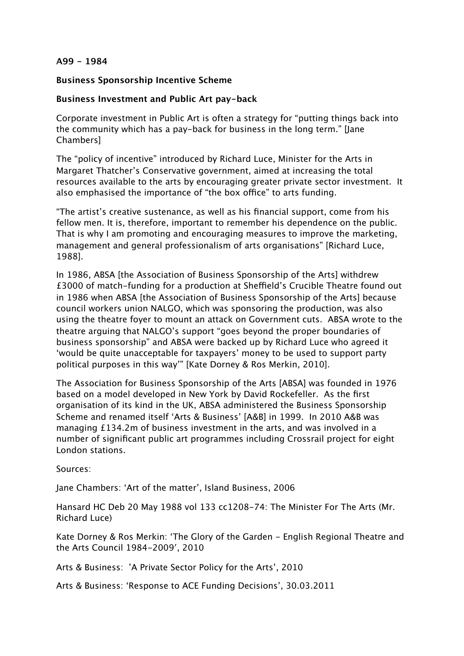#### **A99 - 1984**

#### **Business Sponsorship Incentive Scheme**

### **Business Investment and Public Art pay-back**

Corporate investment in Public Art is often a strategy for "putting things back into the community which has a pay-back for business in the long term." [Jane Chambers]

The "policy of incentive" introduced by Richard Luce, Minister for the Arts in Margaret Thatcher's Conservative government, aimed at increasing the total resources available to the arts by encouraging greater private sector investment. It also emphasised the importance of "the box office" to arts funding.

"The artist's creative sustenance, as well as his financial support, come from his fellow men. It is, therefore, important to remember his dependence on the public. That is why I am promoting and encouraging measures to improve the marketing, management and general professionalism of arts organisations" [Richard Luce, 1988].

In 1986, ABSA [the Association of Business Sponsorship of the Arts] withdrew £3000 of match-funding for a production at Sheffield's Crucible Theatre found out in 1986 when ABSA [the Association of Business Sponsorship of the Arts] because council workers union NALGO, which was sponsoring the production, was also using the theatre foyer to mount an attack on Government cuts. ABSA wrote to the theatre arguing that NALGO's support "goes beyond the proper boundaries of business sponsorship" and ABSA were backed up by Richard Luce who agreed it 'would be quite unacceptable for taxpayers' money to be used to support party political purposes in this way'" [Kate Dorney & Ros Merkin, 2010].

The Association for Business Sponsorship of the Arts [ABSA] was founded in 1976 based on a model developed in New York by David Rockefeller. As the first organisation of its kind in the UK, ABSA administered the Business Sponsorship Scheme and renamed itself 'Arts & Business' [A&B] in 1999. In 2010 A&B was managing £134.2m of business investment in the arts, and was involved in a number of significant public art programmes including Crossrail project for eight London stations.

Sources:

Jane Chambers: 'Art of the matter', Island Business, 2006

Hansard HC Deb 20 May 1988 vol 133 cc1208-74: The Minister For The Arts (Mr. Richard Luce)

Kate Dorney & Ros Merkin: 'The Glory of the Garden - English Regional Theatre and the Arts Council 1984-2009′, 2010

Arts & Business: 'A Private Sector Policy for the Arts', 2010

Arts & Business: 'Response to ACE Funding Decisions', 30.03.2011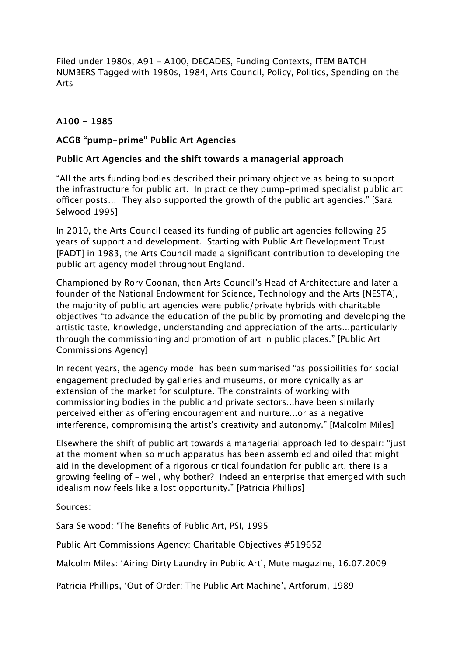Filed under 1980s, A91 - A100, DECADES, Funding Contexts, ITEM BATCH NUMBERS Tagged with 1980s, 1984, Arts Council, Policy, Politics, Spending on the Arts

## **A100 - 1985**

#### **ACGB "pump-prime" Public Art Agencies**

#### **Public Art Agencies and the shift towards a managerial approach**

"All the arts funding bodies described their primary objective as being to support the infrastructure for public art. In practice they pump-primed specialist public art officer posts... They also supported the growth of the public art agencies." [Sara] Selwood 1995]

In 2010, the Arts Council ceased its funding of public art agencies following 25 years of support and development. Starting with Public Art Development Trust [PADT] in 1983, the Arts Council made a significant contribution to developing the public art agency model throughout England.

Championed by Rory Coonan, then Arts Council's Head of Architecture and later a founder of the National Endowment for Science, Technology and the Arts [NESTA], the majority of public art agencies were public/private hybrids with charitable objectives "to advance the education of the public by promoting and developing the artistic taste, knowledge, understanding and appreciation of the arts...particularly through the commissioning and promotion of art in public places." [Public Art Commissions Agency]

In recent years, the agency model has been summarised "as possibilities for social engagement precluded by galleries and museums, or more cynically as an extension of the market for sculpture. The constraints of working with commissioning bodies in the public and private sectors...have been similarly perceived either as offering encouragement and nurture...or as a negative interference, compromising the artist's creativity and autonomy." [Malcolm Miles]

Elsewhere the shift of public art towards a managerial approach led to despair: "just at the moment when so much apparatus has been assembled and oiled that might aid in the development of a rigorous critical foundation for public art, there is a growing feeling of – well, why bother? Indeed an enterprise that emerged with such idealism now feels like a lost opportunity." [Patricia Phillips]

Sources:

Sara Selwood: 'The Benefits of Public Art, PSI, 1995

Public Art Commissions Agency: Charitable Objectives #519652

Malcolm Miles: 'Airing Dirty Laundry in Public Art', Mute magazine, 16.07.2009

Patricia Phillips, 'Out of Order: The Public Art Machine', Artforum, 1989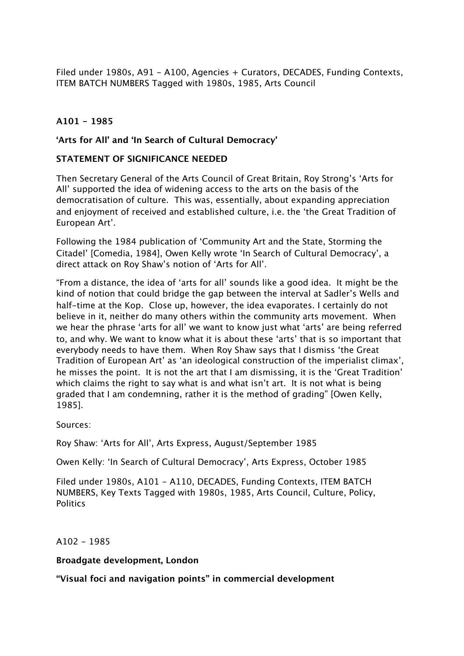Filed under 1980s, A91 - A100, Agencies + Curators, DECADES, Funding Contexts, ITEM BATCH NUMBERS Tagged with 1980s, 1985, Arts Council

# **A101 - 1985**

### **'Arts for All' and 'In Search of Cultural Democracy'**

#### **STATEMENT OF SIGNIFICANCE NEEDED**

Then Secretary General of the Arts Council of Great Britain, Roy Strong's 'Arts for All' supported the idea of widening access to the arts on the basis of the democratisation of culture. This was, essentially, about expanding appreciation and enjoyment of received and established culture, i.e. the 'the Great Tradition of European Art'.

Following the 1984 publication of 'Community Art and the State, Storming the Citadel' [Comedia, 1984], Owen Kelly wrote 'In Search of Cultural Democracy', a direct attack on Roy Shaw's notion of 'Arts for All'.

"From a distance, the idea of 'arts for all' sounds like a good idea. It might be the kind of notion that could bridge the gap between the interval at Sadler's Wells and half-time at the Kop. Close up, however, the idea evaporates. I certainly do not believe in it, neither do many others within the community arts movement. When we hear the phrase 'arts for all' we want to know just what 'arts' are being referred to, and why. We want to know what it is about these 'arts' that is so important that everybody needs to have them. When Roy Shaw says that I dismiss 'the Great Tradition of European Art' as 'an ideological construction of the imperialist climax', he misses the point. It is not the art that I am dismissing, it is the 'Great Tradition' which claims the right to say what is and what isn't art. It is not what is being graded that I am condemning, rather it is the method of grading" [Owen Kelly, 1985].

Sources:

Roy Shaw: 'Arts for All', Arts Express, August/September 1985

Owen Kelly: 'In Search of Cultural Democracy', Arts Express, October 1985

Filed under 1980s, A101 - A110, DECADES, Funding Contexts, ITEM BATCH NUMBERS, Key Texts Tagged with 1980s, 1985, Arts Council, Culture, Policy, **Politics** 

 $A102 - 1985$ 

**Broadgate development, London**

**"Visual foci and navigation points" in commercial development**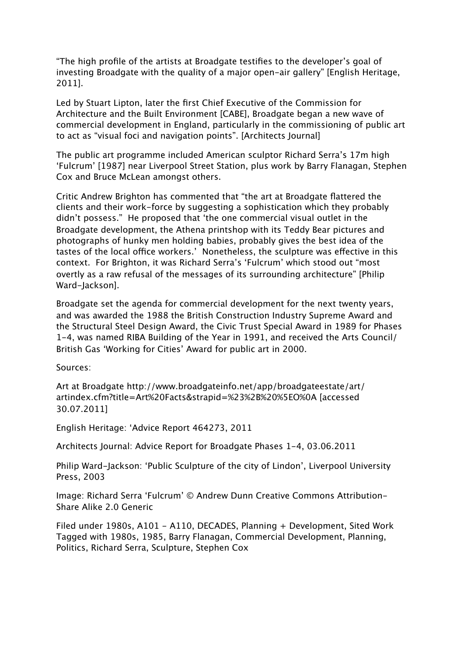"The high profile of the artists at Broadgate testifies to the developer's goal of investing Broadgate with the quality of a major open-air gallery" [English Heritage, 2011].

Led by Stuart Lipton, later the first Chief Executive of the Commission for Architecture and the Built Environment [CABE], Broadgate began a new wave of commercial development in England, particularly in the commissioning of public art to act as "visual foci and navigation points". [Architects Journal]

The public art programme included American sculptor Richard Serra's 17m high 'Fulcrum' [1987] near Liverpool Street Station, plus work by Barry Flanagan, Stephen Cox and Bruce McLean amongst others.

Critic Andrew Brighton has commented that "the art at Broadgate flattered the clients and their work-force by suggesting a sophistication which they probably didn't possess." He proposed that 'the one commercial visual outlet in the Broadgate development, the Athena printshop with its Teddy Bear pictures and photographs of hunky men holding babies, probably gives the best idea of the tastes of the local office workers.' Nonetheless, the sculpture was effective in this context. For Brighton, it was Richard Serra's 'Fulcrum' which stood out "most overtly as a raw refusal of the messages of its surrounding architecture" [Philip Ward-Jackson].

Broadgate set the agenda for commercial development for the next twenty years, and was awarded the 1988 the British Construction Industry Supreme Award and the Structural Steel Design Award, the Civic Trust Special Award in 1989 for Phases 1-4, was named RIBA Building of the Year in 1991, and received the Arts Council/ British Gas 'Working for Cities' Award for public art in 2000.

Sources:

Art at Broadgate http://www.broadgateinfo.net/app/broadgateestate/art/ artindex.cfm?title=Art%20Facts&strapid=%23%2B%20%5EO%0A [accessed 30.07.2011]

English Heritage: 'Advice Report 464273, 2011

Architects Journal: Advice Report for Broadgate Phases 1-4, 03.06.2011

Philip Ward-Jackson: 'Public Sculpture of the city of Lindon', Liverpool University Press, 2003

Image: Richard Serra 'Fulcrum' © Andrew Dunn Creative Commons Attribution-Share Alike 2.0 Generic

Filed under 1980s, A101 - A110, DECADES, Planning + Development, Sited Work Tagged with 1980s, 1985, Barry Flanagan, Commercial Development, Planning, Politics, Richard Serra, Sculpture, Stephen Cox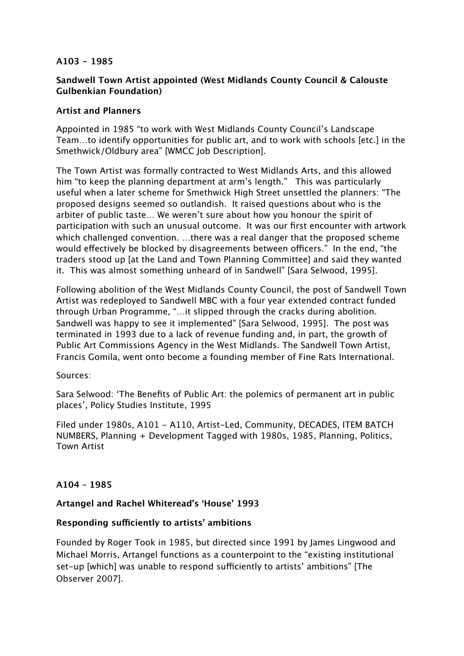### **A103 - 1985**

## **Sandwell Town Artist appointed (West Midlands County Council & Calouste Gulbenkian Foundation)**

# **Artist and Planners**

Appointed in 1985 "to work with West Midlands County Council's Landscape Team…to identify opportunities for public art, and to work with schools [etc.] in the Smethwick/Oldbury area" [WMCC Job Description].

The Town Artist was formally contracted to West Midlands Arts, and this allowed him "to keep the planning department at arm's length." This was particularly useful when a later scheme for Smethwick High Street unsettled the planners: "The proposed designs seemed so outlandish. It raised questions about who is the arbiter of public taste… We weren't sure about how you honour the spirit of participation with such an unusual outcome. It was our first encounter with artwork which challenged convention. …there was a real danger that the proposed scheme would effectively be blocked by disagreements between officers." In the end, "the traders stood up [at the Land and Town Planning Committee] and said they wanted it. This was almost something unheard of in Sandwell" [Sara Selwood, 1995].

Following abolition of the West Midlands County Council, the post of Sandwell Town Artist was redeployed to Sandwell MBC with a four year extended contract funded through Urban Programme, "…it slipped through the cracks during abolition. Sandwell was happy to see it implemented" [Sara Selwood, 1995]. The post was terminated in 1993 due to a lack of revenue funding and, in part, the growth of Public Art Commissions Agency in the West Midlands. The Sandwell Town Artist, Francis Gomila, went onto become a founding member of Fine Rats International.

Sources:

Sara Selwood: 'The Benefits of Public Art: the polemics of permanent art in public places', Policy Studies Institute, 1995

Filed under 1980s, A101 - A110, Artist-Led, Community, DECADES, ITEM BATCH NUMBERS, Planning + Development Tagged with 1980s, 1985, Planning, Politics, Town Artist

## **A104 – 1985**

## **Artangel and Rachel Whiteread's 'House' 1993**

## **Responding su!ciently to artists' ambitions**

Founded by Roger Took in 1985, but directed since 1991 by James Lingwood and Michael Morris, Artangel functions as a counterpoint to the "existing institutional set-up [which] was unable to respond sufficiently to artists' ambitions" [The Observer 2007].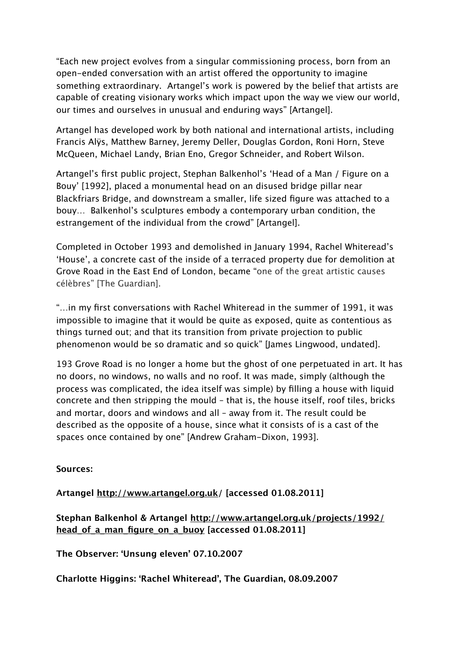"Each new project evolves from a singular commissioning process, born from an open-ended conversation with an artist offered the opportunity to imagine something extraordinary. Artangel's work is powered by the belief that artists are capable of creating visionary works which impact upon the way we view our world, our times and ourselves in unusual and enduring ways" [Artangel].

Artangel has developed work by both national and international artists, including Francis Alÿs, Matthew Barney, Jeremy Deller, Douglas Gordon, Roni Horn, Steve McQueen, Michael Landy, Brian Eno, Gregor Schneider, and Robert Wilson.

Artangel's first public project, Stephan Balkenhol's 'Head of a Man / Figure on a Bouy' [1992], placed a monumental head on an disused bridge pillar near Blackfriars Bridge, and downstream a smaller, life sized figure was attached to a bouy… Balkenhol's sculptures embody a contemporary urban condition, the estrangement of the individual from the crowd" [Artangel].

Completed in October 1993 and demolished in January 1994, Rachel Whiteread's 'House', a concrete cast of the inside of a terraced property due for demolition at Grove Road in the East End of London, became "one of the great artistic causes célèbres" [The Guardian].

"…in my first conversations with Rachel Whiteread in the summer of 1991, it was impossible to imagine that it would be quite as exposed, quite as contentious as things turned out; and that its transition from private projection to public phenomenon would be so dramatic and so quick" [James Lingwood, undated].

193 Grove Road is no longer a home but the ghost of one perpetuated in art. It has no doors, no windows, no walls and no roof. It was made, simply (although the process was complicated, the idea itself was simple) by filling a house with liquid concrete and then stripping the mould – that is, the house itself, roof tiles, bricks and mortar, doors and windows and all – away from it. The result could be described as the opposite of a house, since what it consists of is a cast of the spaces once contained by one" [Andrew Graham-Dixon, 1993].

**Sources:**

**Artangel <http://www.artangel.org.uk/> [accessed 01.08.2011]**

# **Stephan Balkenhol & Artangel [http://www.artangel.org.uk/projects/1992/](http://www.artangel.org.uk/projects/1992/head_of_a_man_figure_on_a_buoy) [head\\_of\\_a\\_man\\_figure\\_on\\_a\\_buoy](http://www.artangel.org.uk/projects/1992/head_of_a_man_figure_on_a_buoy) [accessed 01.08.2011]**

**The Observer: 'Unsung eleven' 07.10.2007**

**Charlotte Higgins: 'Rachel Whiteread', The Guardian, 08.09.2007**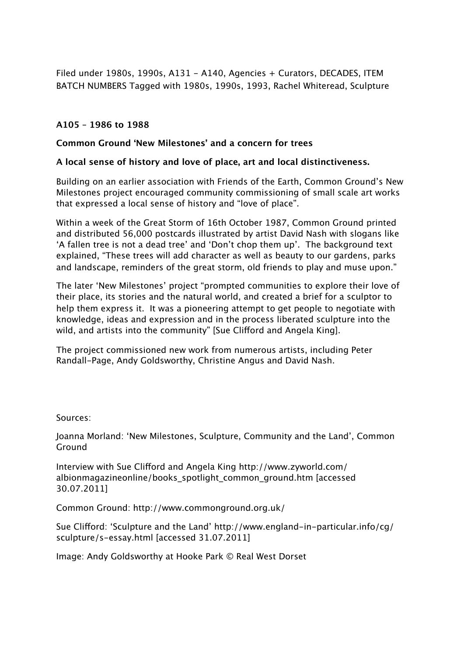Filed under 1980s, 1990s, A131 - A140, Agencies + Curators, DECADES, ITEM BATCH NUMBERS Tagged with 1980s, 1990s, 1993, Rachel Whiteread, Sculpture

# **A105 – 1986 to 1988**

# **Common Ground 'New Milestones' and a concern for trees**

# **A local sense of history and love of place, art and local distinctiveness.**

Building on an earlier association with Friends of the Earth, Common Ground's New Milestones project encouraged community commissioning of small scale art works that expressed a local sense of history and "love of place".

Within a week of the Great Storm of 16th October 1987, Common Ground printed and distributed 56,000 postcards illustrated by artist David Nash with slogans like 'A fallen tree is not a dead tree' and 'Don't chop them up'. The background text explained, "These trees will add character as well as beauty to our gardens, parks and landscape, reminders of the great storm, old friends to play and muse upon."

The later 'New Milestones' project "prompted communities to explore their love of their place, its stories and the natural world, and created a brief for a sculptor to help them express it. It was a pioneering attempt to get people to negotiate with knowledge, ideas and expression and in the process liberated sculpture into the wild, and artists into the community" [Sue Clifford and Angela King].

The project commissioned new work from numerous artists, including Peter Randall-Page, Andy Goldsworthy, Christine Angus and David Nash.

Sources:

Joanna Morland: 'New Milestones, Sculpture, Community and the Land', Common Ground

Interview with Sue Clifford and Angela King http://www.zyworld.com/ albionmagazineonline/books\_spotlight\_common\_ground.htm [accessed 30.07.2011]

Common Ground: http://www.commonground.org.uk/

Sue Clifford: 'Sculpture and the Land' http://www.england-in-particular.info/cg/ sculpture/s-essay.html [accessed 31.07.2011]

Image: Andy Goldsworthy at Hooke Park © Real West Dorset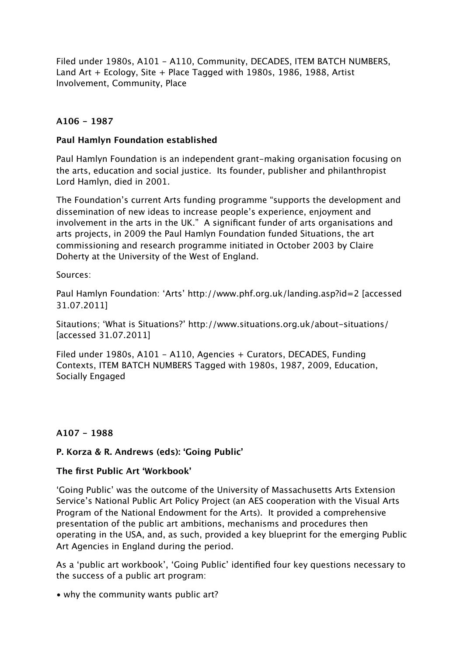Filed under 1980s, A101 - A110, Community, DECADES, ITEM BATCH NUMBERS, Land Art + Ecology, Site + Place Tagged with 1980s, 1986, 1988, Artist Involvement, Community, Place

# **A106 - 1987**

## **Paul Hamlyn Foundation established**

Paul Hamlyn Foundation is an independent grant-making organisation focusing on the arts, education and social justice. Its founder, publisher and philanthropist Lord Hamlyn, died in 2001.

The Foundation's current Arts funding programme "supports the development and dissemination of new ideas to increase people's experience, enjoyment and involvement in the arts in the UK." A significant funder of arts organisations and arts projects, in 2009 the Paul Hamlyn Foundation funded Situations, the art commissioning and research programme initiated in October 2003 by Claire Doherty at the University of the West of England.

Sources:

Paul Hamlyn Foundation: 'Arts' http://www.phf.org.uk/landing.asp?id=2 [accessed 31.07.2011]

Sitautions; 'What is Situations?' http://www.situations.org.uk/about-situations/ [accessed 31.07.2011]

Filed under 1980s, A101 - A110, Agencies + Curators, DECADES, Funding Contexts, ITEM BATCH NUMBERS Tagged with 1980s, 1987, 2009, Education, Socially Engaged

# **A107 - 1988**

# **P. Korza & R. Andrews (eds): 'Going Public'**

## **The first Public Art 'Workbook'**

'Going Public' was the outcome of the University of Massachusetts Arts Extension Service's National Public Art Policy Project (an AES cooperation with the Visual Arts Program of the National Endowment for the Arts). It provided a comprehensive presentation of the public art ambitions, mechanisms and procedures then operating in the USA, and, as such, provided a key blueprint for the emerging Public Art Agencies in England during the period.

As a 'public art workbook', 'Going Public' identified four key questions necessary to the success of a public art program:

• why the community wants public art?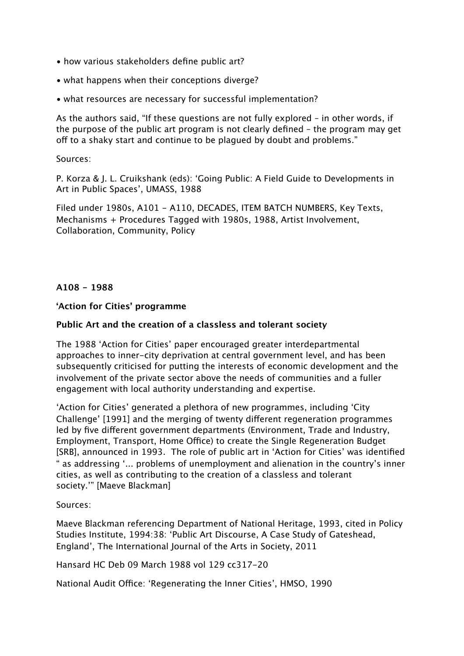- how various stakeholders define public art?
- what happens when their conceptions diverge?
- what resources are necessary for successful implementation?

As the authors said, "If these questions are not fully explored – in other words, if the purpose of the public art program is not clearly defined – the program may get off to a shaky start and continue to be plagued by doubt and problems."

#### Sources:

P. Korza & J. L. Cruikshank (eds): 'Going Public: A Field Guide to Developments in Art in Public Spaces', UMASS, 1988

Filed under 1980s, A101 - A110, DECADES, ITEM BATCH NUMBERS, Key Texts, Mechanisms + Procedures Tagged with 1980s, 1988, Artist Involvement, Collaboration, Community, Policy

## **A108 - 1988**

#### **'Action for Cities' programme**

#### **Public Art and the creation of a classless and tolerant society**

The 1988 'Action for Cities' paper encouraged greater interdepartmental approaches to inner-city deprivation at central government level, and has been subsequently criticised for putting the interests of economic development and the involvement of the private sector above the needs of communities and a fuller engagement with local authority understanding and expertise.

'Action for Cities' generated a plethora of new programmes, including 'City Challenge' [1991] and the merging of twenty different regeneration programmes led by five different government departments (Environment, Trade and Industry, Employment, Transport, Home Office) to create the Single Regeneration Budget [SRB], announced in 1993. The role of public art in 'Action for Cities' was identified " as addressing '... problems of unemployment and alienation in the country's inner cities, as well as contributing to the creation of a classless and tolerant society.'" [Maeve Blackman]

#### Sources:

Maeve Blackman referencing Department of National Heritage, 1993, cited in Policy Studies Institute, 1994:38: 'Public Art Discourse, A Case Study of Gateshead, England', The International Journal of the Arts in Society, 2011

Hansard HC Deb 09 March 1988 vol 129 cc317-20

National Audit Office: 'Regenerating the Inner Cities', HMSO, 1990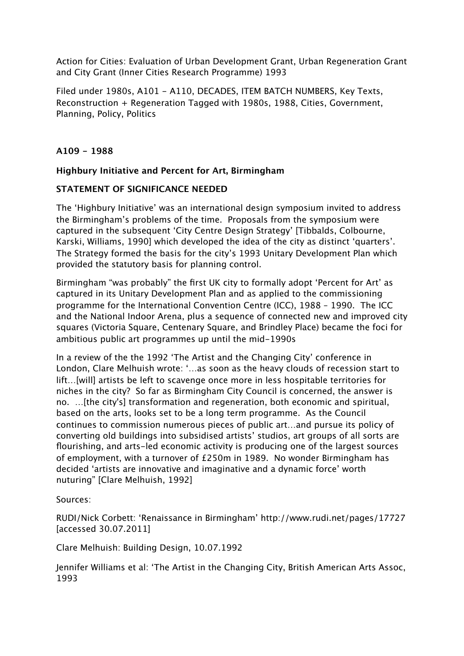Action for Cities: Evaluation of Urban Development Grant, Urban Regeneration Grant and City Grant (Inner Cities Research Programme) 1993

Filed under 1980s, A101 - A110, DECADES, ITEM BATCH NUMBERS, Key Texts, Reconstruction + Regeneration Tagged with 1980s, 1988, Cities, Government, Planning, Policy, Politics

# **A109 - 1988**

## **Highbury Initiative and Percent for Art, Birmingham**

## **STATEMENT OF SIGNIFICANCE NEEDED**

The 'Highbury Initiative' was an international design symposium invited to address the Birmingham's problems of the time. Proposals from the symposium were captured in the subsequent 'City Centre Design Strategy' [Tibbalds, Colbourne, Karski, Williams, 1990] which developed the idea of the city as distinct 'quarters'. The Strategy formed the basis for the city's 1993 Unitary Development Plan which provided the statutory basis for planning control.

Birmingham "was probably" the first UK city to formally adopt 'Percent for Art' as captured in its Unitary Development Plan and as applied to the commissioning programme for the International Convention Centre (ICC), 1988 – 1990. The ICC and the National Indoor Arena, plus a sequence of connected new and improved city squares (Victoria Square, Centenary Square, and Brindley Place) became the foci for ambitious public art programmes up until the mid-1990s

In a review of the the 1992 'The Artist and the Changing City' conference in London, Clare Melhuish wrote: '…as soon as the heavy clouds of recession start to lift…[will] artists be left to scavenge once more in less hospitable territories for niches in the city? So far as Birmingham City Council is concerned, the answer is no. …[the city's] transformation and regeneration, both economic and spiritual, based on the arts, looks set to be a long term programme. As the Council continues to commission numerous pieces of public art…and pursue its policy of converting old buildings into subsidised artists' studios, art groups of all sorts are flourishing, and arts-led economic activity is producing one of the largest sources of employment, with a turnover of £250m in 1989. No wonder Birmingham has decided 'artists are innovative and imaginative and a dynamic force' worth nuturing" [Clare Melhuish, 1992]

Sources:

RUDI/Nick Corbett: 'Renaissance in Birmingham' http://www.rudi.net/pages/17727 [accessed 30.07.2011]

Clare Melhuish: Building Design, 10.07.1992

Jennifer Williams et al: 'The Artist in the Changing City, British American Arts Assoc, 1993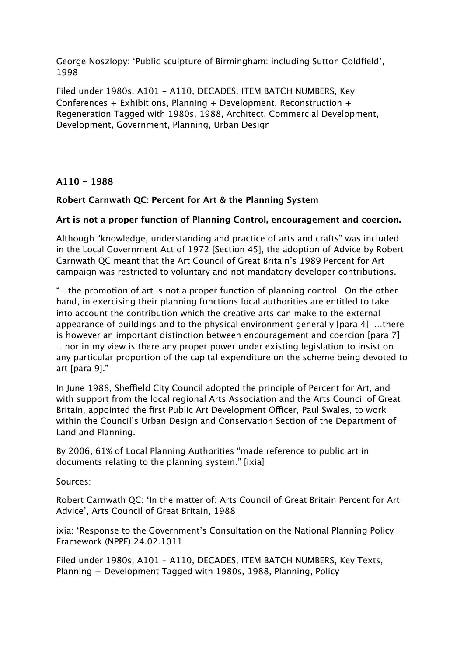George Noszlopy: 'Public sculpture of Birmingham: including Sutton Coldfield', 1998

Filed under 1980s, A101 - A110, DECADES, ITEM BATCH NUMBERS, Key Conferences + Exhibitions, Planning + Development, Reconstruction + Regeneration Tagged with 1980s, 1988, Architect, Commercial Development, Development, Government, Planning, Urban Design

**A110 - 1988**

## **Robert Carnwath QC: Percent for Art & the Planning System**

#### **Art is not a proper function of Planning Control, encouragement and coercion.**

Although "knowledge, understanding and practice of arts and crafts" was included in the Local Government Act of 1972 [Section 45], the adoption of Advice by Robert Carnwath QC meant that the Art Council of Great Britain's 1989 Percent for Art campaign was restricted to voluntary and not mandatory developer contributions.

"…the promotion of art is not a proper function of planning control. On the other hand, in exercising their planning functions local authorities are entitled to take into account the contribution which the creative arts can make to the external appearance of buildings and to the physical environment generally [para 4] …there is however an important distinction between encouragement and coercion [para 7] …nor in my view is there any proper power under existing legislation to insist on any particular proportion of the capital expenditure on the scheme being devoted to art [para 9]."

In June 1988, Sheffield City Council adopted the principle of Percent for Art, and with support from the local regional Arts Association and the Arts Council of Great Britain, appointed the first Public Art Development Officer, Paul Swales, to work within the Council's Urban Design and Conservation Section of the Department of Land and Planning.

By 2006, 61% of Local Planning Authorities "made reference to public art in documents relating to the planning system." [ixia]

Sources:

Robert Carnwath QC: 'In the matter of: Arts Council of Great Britain Percent for Art Advice', Arts Council of Great Britain, 1988

ixia: 'Response to the Government's Consultation on the National Planning Policy Framework (NPPF) 24.02.1011

Filed under 1980s, A101 - A110, DECADES, ITEM BATCH NUMBERS, Key Texts, Planning + Development Tagged with 1980s, 1988, Planning, Policy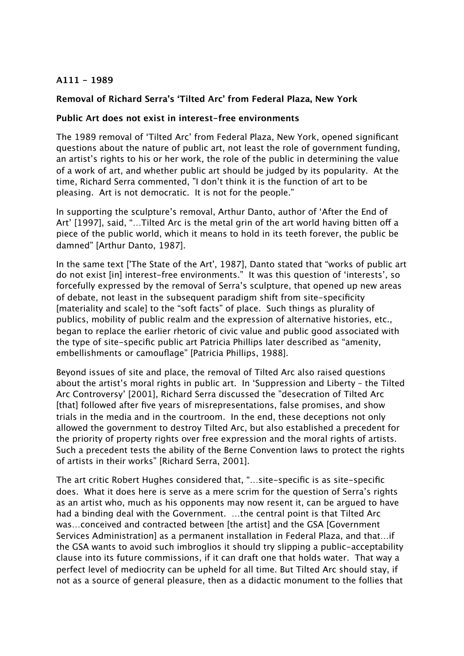# **A111 - 1989**

# **Removal of Richard Serra's 'Tilted Arc' from Federal Plaza, New York**

#### **Public Art does not exist in interest-free environments**

The 1989 removal of 'Tilted Arc' from Federal Plaza, New York, opened significant questions about the nature of public art, not least the role of government funding, an artist's rights to his or her work, the role of the public in determining the value of a work of art, and whether public art should be judged by its popularity. At the time, Richard Serra commented, "I don't think it is the function of art to be pleasing. Art is not democratic. It is not for the people."

In supporting the sculpture's removal, Arthur Danto, author of 'After the End of Art' [1997], said, "...Tilted Arc is the metal grin of the art world having bitten off a piece of the public world, which it means to hold in its teeth forever, the public be damned" [Arthur Danto, 1987].

In the same text ['The State of the Art', 1987], Danto stated that "works of public art do not exist [in] interest-free environments." It was this question of 'interests', so forcefully expressed by the removal of Serra's sculpture, that opened up new areas of debate, not least in the subsequent paradigm shift from site-specificity [materiality and scale] to the "soft facts" of place. Such things as plurality of publics, mobility of public realm and the expression of alternative histories, etc., began to replace the earlier rhetoric of civic value and public good associated with the type of site-specific public art Patricia Phillips later described as "amenity, embellishments or camouflage" [Patricia Phillips, 1988].

Beyond issues of site and place, the removal of Tilted Arc also raised questions about the artist's moral rights in public art. In 'Suppression and Liberty – the Tilted Arc Controversy' [2001], Richard Serra discussed the "desecration of Tilted Arc [that] followed after five years of misrepresentations, false promises, and show trials in the media and in the courtroom. In the end, these deceptions not only allowed the government to destroy Tilted Arc, but also established a precedent for the priority of property rights over free expression and the moral rights of artists. Such a precedent tests the ability of the Berne Convention laws to protect the rights of artists in their works" [Richard Serra, 2001].

The art critic Robert Hughes considered that, "…site-specific is as site-specific does. What it does here is serve as a mere scrim for the question of Serra's rights as an artist who, much as his opponents may now resent it, can be argued to have had a binding deal with the Government. …the central point is that Tilted Arc was…conceived and contracted between [the artist] and the GSA [Government Services Administration] as a permanent installation in Federal Plaza, and that…if the GSA wants to avoid such imbroglios it should try slipping a public-acceptability clause into its future commissions, if it can draft one that holds water. That way a perfect level of mediocrity can be upheld for all time. But Tilted Arc should stay, if not as a source of general pleasure, then as a didactic monument to the follies that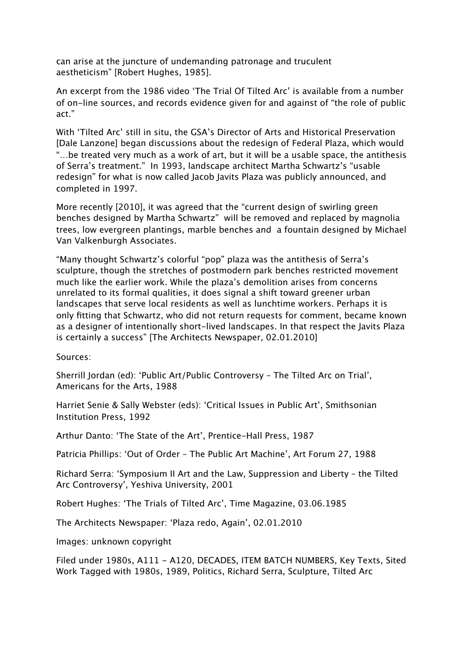can arise at the juncture of undemanding patronage and truculent aestheticism" [Robert Hughes, 1985].

An excerpt from the 1986 video 'The Trial Of Tilted Arc' is available from a number of on-line sources, and records evidence given for and against of "the role of public act."

With 'Tilted Arc' still in situ, the GSA's Director of Arts and Historical Preservation [Dale Lanzone] began discussions about the redesign of Federal Plaza, which would "…be treated very much as a work of art, but it will be a usable space, the antithesis of Serra's treatment." In 1993, landscape architect Martha Schwartz's "usable redesign" for what is now called Jacob Javits Plaza was publicly announced, and completed in 1997.

More recently [2010], it was agreed that the "current design of swirling green benches designed by Martha Schwartz" will be removed and replaced by magnolia trees, low evergreen plantings, marble benches and a fountain designed by Michael Van Valkenburgh Associates.

"Many thought Schwartz's colorful "pop" plaza was the antithesis of Serra's sculpture, though the stretches of postmodern park benches restricted movement much like the earlier work. While the plaza's demolition arises from concerns unrelated to its formal qualities, it does signal a shift toward greener urban landscapes that serve local residents as well as lunchtime workers. Perhaps it is only fitting that Schwartz, who did not return requests for comment, became known as a designer of intentionally short-lived landscapes. In that respect the Javits Plaza is certainly a success" [The Architects Newspaper, 02.01.2010]

Sources:

Sherrill Jordan (ed): 'Public Art/Public Controversy – The Tilted Arc on Trial', Americans for the Arts, 1988

Harriet Senie & Sally Webster (eds): 'Critical Issues in Public Art', Smithsonian Institution Press, 1992

Arthur Danto: 'The State of the Art', Prentice-Hall Press, 1987

Patricia Phillips: 'Out of Order – The Public Art Machine', Art Forum 27, 1988

Richard Serra: 'Symposium II Art and the Law, Suppression and Liberty – the Tilted Arc Controversy', Yeshiva University, 2001

Robert Hughes: 'The Trials of Tilted Arc', Time Magazine, 03.06.1985

The Architects Newspaper: 'Plaza redo, Again', 02.01.2010

Images: unknown copyright

Filed under 1980s, A111 - A120, DECADES, ITEM BATCH NUMBERS, Key Texts, Sited Work Tagged with 1980s, 1989, Politics, Richard Serra, Sculpture, Tilted Arc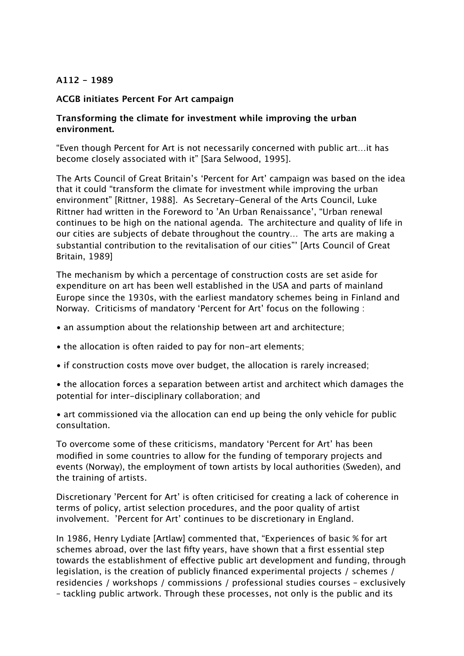### **A112 - 1989**

#### **ACGB initiates Percent For Art campaign**

## **Transforming the climate for investment while improving the urban environment.**

"Even though Percent for Art is not necessarily concerned with public art…it has become closely associated with it" [Sara Selwood, 1995].

The Arts Council of Great Britain's 'Percent for Art' campaign was based on the idea that it could "transform the climate for investment while improving the urban environment" [Rittner, 1988]. As Secretary-General of the Arts Council, Luke Rittner had written in the Foreword to 'An Urban Renaissance', "Urban renewal continues to be high on the national agenda. The architecture and quality of life in our cities are subjects of debate throughout the country… The arts are making a substantial contribution to the revitalisation of our cities"' [Arts Council of Great Britain, 1989]

The mechanism by which a percentage of construction costs are set aside for expenditure on art has been well established in the USA and parts of mainland Europe since the 1930s, with the earliest mandatory schemes being in Finland and Norway. Criticisms of mandatory 'Percent for Art' focus on the following :

- an assumption about the relationship between art and architecture;
- the allocation is often raided to pay for non-art elements;
- if construction costs move over budget, the allocation is rarely increased;
- the allocation forces a separation between artist and architect which damages the potential for inter-disciplinary collaboration; and

• art commissioned via the allocation can end up being the only vehicle for public consultation.

To overcome some of these criticisms, mandatory 'Percent for Art' has been modified in some countries to allow for the funding of temporary projects and events (Norway), the employment of town artists by local authorities (Sweden), and the training of artists.

Discretionary 'Percent for Art' is often criticised for creating a lack of coherence in terms of policy, artist selection procedures, and the poor quality of artist involvement. 'Percent for Art' continues to be discretionary in England.

In 1986, Henry Lydiate [Artlaw] commented that, "Experiences of basic % for art schemes abroad, over the last fifty years, have shown that a first essential step towards the establishment of effective public art development and funding, through legislation, is the creation of publicly financed experimental projects / schemes / residencies / workshops / commissions / professional studies courses – exclusively – tackling public artwork. Through these processes, not only is the public and its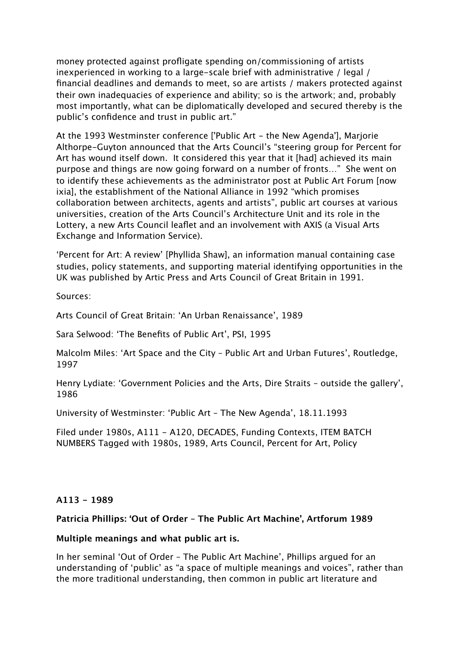money protected against profligate spending on/commissioning of artists inexperienced in working to a large-scale brief with administrative / legal / financial deadlines and demands to meet, so are artists / makers protected against their own inadequacies of experience and ability; so is the artwork; and, probably most importantly, what can be diplomatically developed and secured thereby is the public's confidence and trust in public art."

At the 1993 Westminster conference ['Public Art - the New Agenda'], Marjorie Althorpe-Guyton announced that the Arts Council's "steering group for Percent for Art has wound itself down. It considered this year that it [had] achieved its main purpose and things are now going forward on a number of fronts…" She went on to identify these achievements as the administrator post at Public Art Forum [now ixia], the establishment of the National Alliance in 1992 "which promises collaboration between architects, agents and artists", public art courses at various universities, creation of the Arts Council's Architecture Unit and its role in the Lottery, a new Arts Council leaflet and an involvement with AXIS (a Visual Arts Exchange and Information Service).

'Percent for Art: A review' [Phyllida Shaw], an information manual containing case studies, policy statements, and supporting material identifying opportunities in the UK was published by Artic Press and Arts Council of Great Britain in 1991.

Sources:

Arts Council of Great Britain: 'An Urban Renaissance', 1989

Sara Selwood: 'The Benefits of Public Art', PSI, 1995

Malcolm Miles: 'Art Space and the City – Public Art and Urban Futures', Routledge, 1997

Henry Lydiate: 'Government Policies and the Arts, Dire Straits – outside the gallery', 1986

University of Westminster: 'Public Art – The New Agenda', 18.11.1993

Filed under 1980s, A111 - A120, DECADES, Funding Contexts, ITEM BATCH NUMBERS Tagged with 1980s, 1989, Arts Council, Percent for Art, Policy

## **A113 - 1989**

#### **Patricia Phillips: 'Out of Order – The Public Art Machine', Artforum 1989**

#### **Multiple meanings and what public art is.**

In her seminal 'Out of Order – The Public Art Machine', Phillips argued for an understanding of 'public' as "a space of multiple meanings and voices", rather than the more traditional understanding, then common in public art literature and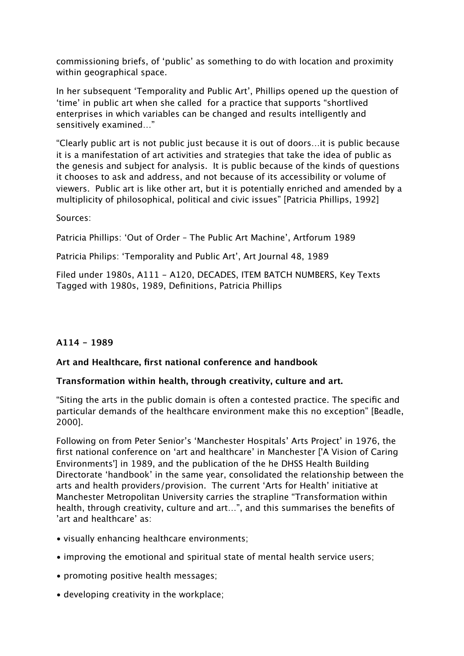commissioning briefs, of 'public' as something to do with location and proximity within geographical space.

In her subsequent 'Temporality and Public Art', Phillips opened up the question of 'time' in public art when she called for a practice that supports "shortlived enterprises in which variables can be changed and results intelligently and sensitively examined…"

"Clearly public art is not public just because it is out of doors…it is public because it is a manifestation of art activities and strategies that take the idea of public as the genesis and subject for analysis. It is public because of the kinds of questions it chooses to ask and address, and not because of its accessibility or volume of viewers. Public art is like other art, but it is potentially enriched and amended by a multiplicity of philosophical, political and civic issues" [Patricia Phillips, 1992]

Sources:

Patricia Phillips: 'Out of Order – The Public Art Machine', Artforum 1989

Patricia Philips: 'Temporality and Public Art', Art Journal 48, 1989

Filed under 1980s, A111 - A120, DECADES, ITEM BATCH NUMBERS, Key Texts Tagged with 1980s, 1989, Definitions, Patricia Phillips

# **A114 - 1989**

## **Art and Healthcare, first national conference and handbook**

## **Transformation within health, through creativity, culture and art.**

"Siting the arts in the public domain is often a contested practice. The specific and particular demands of the healthcare environment make this no exception" [Beadle, 2000].

Following on from Peter Senior's 'Manchester Hospitals' Arts Project' in 1976, the first national conference on 'art and healthcare' in Manchester ['A Vision of Caring Environments'] in 1989, and the publication of the he DHSS Health Building Directorate 'handbook' in the same year, consolidated the relationship between the arts and health providers/provision. The current 'Arts for Health' initiative at Manchester Metropolitan University carries the strapline "Transformation within health, through creativity, culture and art…", and this summarises the benefits of 'art and healthcare' as:

- visually enhancing healthcare environments;
- improving the emotional and spiritual state of mental health service users;
- promoting positive health messages;
- developing creativity in the workplace;